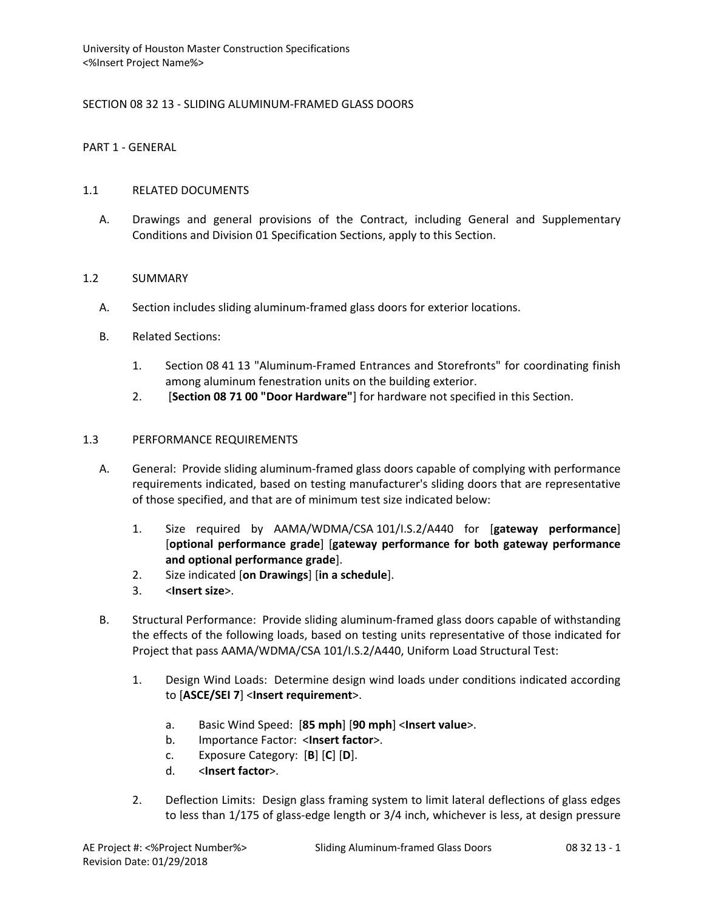## SECTION 08 32 13 - SLIDING ALUMINUM-FRAMED GLASS DOORS

PART 1 - GENERAL

## 1.1 RELATED DOCUMENTS

A. Drawings and general provisions of the Contract, including General and Supplementary Conditions and Division 01 Specification Sections, apply to this Section.

### 1.2 SUMMARY

- A. Section includes sliding aluminum-framed glass doors for exterior locations.
- B. Related Sections:
	- 1. Section 08 41 13 "Aluminum-Framed Entrances and Storefronts" for coordinating finish among aluminum fenestration units on the building exterior.
	- 2. [**Section 08 71 00 "Door Hardware"**] for hardware not specified in this Section.

## 1.3 PERFORMANCE REQUIREMENTS

- A. General: Provide sliding aluminum-framed glass doors capable of complying with performance requirements indicated, based on testing manufacturer's sliding doors that are representative of those specified, and that are of minimum test size indicated below:
	- 1. Size required by AAMA/WDMA/CSA 101/I.S.2/A440 for [**gateway performance**] [**optional performance grade**] [**gateway performance for both gateway performance and optional performance grade**].
	- 2. Size indicated [**on Drawings**] [**in a schedule**].
	- 3. <**Insert size**>.
- B. Structural Performance: Provide sliding aluminum-framed glass doors capable of withstanding the effects of the following loads, based on testing units representative of those indicated for Project that pass AAMA/WDMA/CSA 101/I.S.2/A440, Uniform Load Structural Test:
	- 1. Design Wind Loads: Determine design wind loads under conditions indicated according to [**ASCE/SEI 7**] <**Insert requirement**>.
		- a. Basic Wind Speed: [**85 mph**] [**90 mph**] <**Insert value**>.
		- b. Importance Factor: <**Insert factor**>.
		- c. Exposure Category: [**B**] [**C**] [**D**].
		- d. <**Insert factor**>.
	- 2. Deflection Limits: Design glass framing system to limit lateral deflections of glass edges to less than 1/175 of glass-edge length or 3/4 inch, whichever is less, at design pressure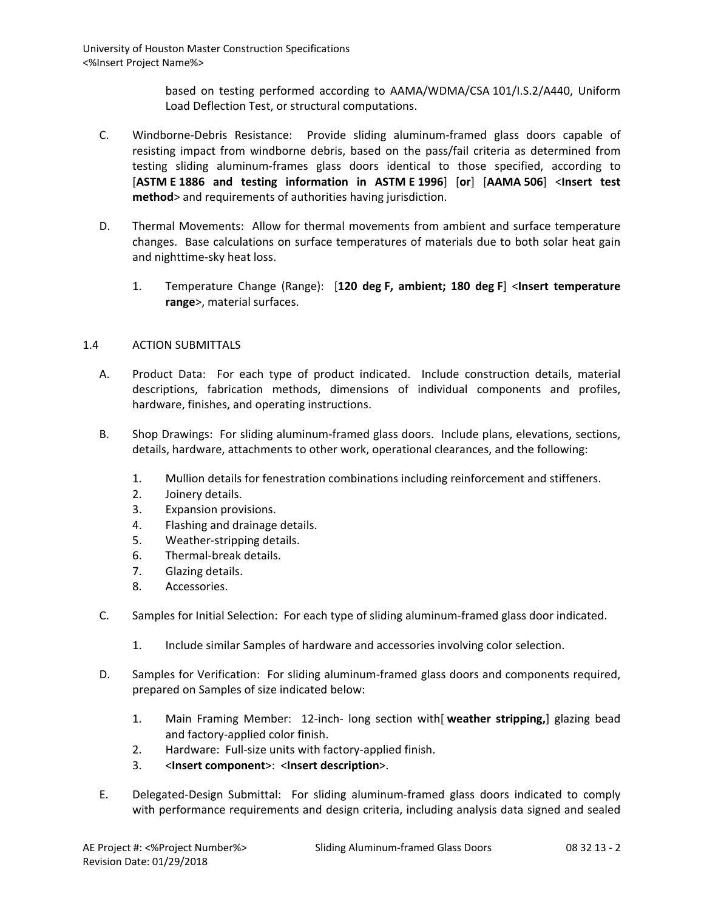> based on testing performed according to AAMA/WDMA/CSA 101/I.S.2/A440, Uniform Load Deflection Test, or structural computations.

- C. Windborne-Debris Resistance: Provide sliding aluminum-framed glass doors capable of resisting impact from windborne debris, based on the pass/fail criteria as determined from testing sliding aluminum-frames glass doors identical to those specified, according to [**ASTM E 1886 and testing information in ASTM E 1996**] [**or**] [**AAMA 506**] <**Insert test method**> and requirements of authorities having jurisdiction.
- D. Thermal Movements: Allow for thermal movements from ambient and surface temperature changes. Base calculations on surface temperatures of materials due to both solar heat gain and nighttime-sky heat loss.
	- 1. Temperature Change (Range): [**120 deg F, ambient; 180 deg F**] <**Insert temperature range**>, material surfaces.

## 1.4 ACTION SUBMITTALS

- A. Product Data: For each type of product indicated. Include construction details, material descriptions, fabrication methods, dimensions of individual components and profiles, hardware, finishes, and operating instructions.
- B. Shop Drawings: For sliding aluminum-framed glass doors. Include plans, elevations, sections, details, hardware, attachments to other work, operational clearances, and the following:
	- 1. Mullion details for fenestration combinations including reinforcement and stiffeners.
	- 2. Joinery details.
	- 3. Expansion provisions.
	- 4. Flashing and drainage details.
	- 5. Weather-stripping details.
	- 6. Thermal-break details.
	- 7. Glazing details.
	- 8. Accessories.
- C. Samples for Initial Selection: For each type of sliding aluminum-framed glass door indicated.
	- 1. Include similar Samples of hardware and accessories involving color selection.
- D. Samples for Verification: For sliding aluminum-framed glass doors and components required, prepared on Samples of size indicated below:
	- 1. Main Framing Member: 12-inch- long section with[ **weather stripping,**] glazing bead and factory-applied color finish.
	- 2. Hardware: Full-size units with factory-applied finish.
	- 3. <**Insert component**>: <**Insert description**>.
- E. Delegated-Design Submittal: For sliding aluminum-framed glass doors indicated to comply with performance requirements and design criteria, including analysis data signed and sealed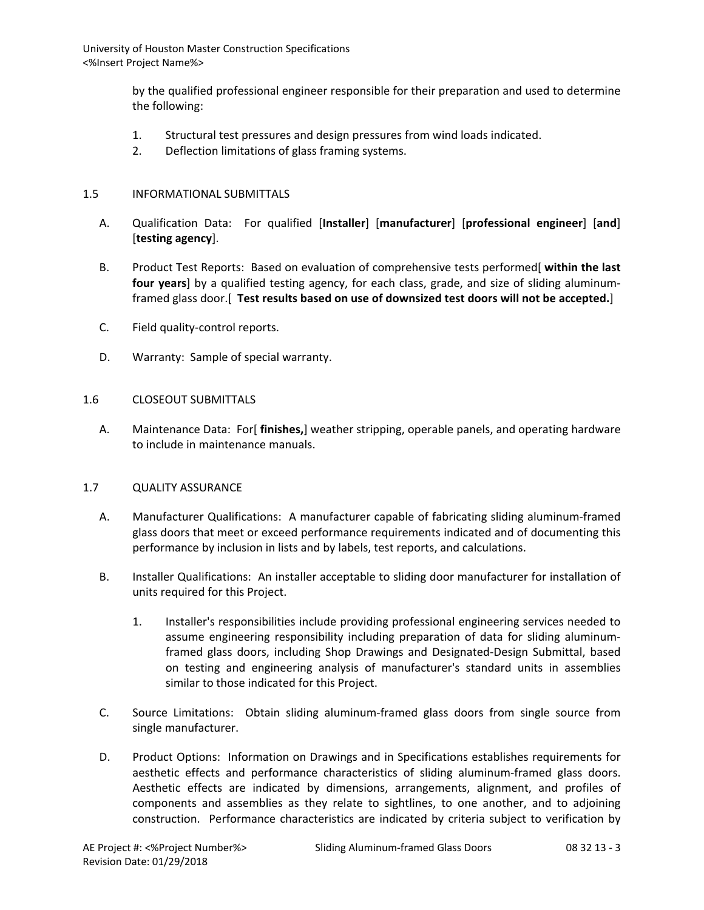> by the qualified professional engineer responsible for their preparation and used to determine the following:

- 1. Structural test pressures and design pressures from wind loads indicated.
- 2. Deflection limitations of glass framing systems.

### 1.5 INFORMATIONAL SUBMITTALS

- A. Qualification Data: For qualified [**Installer**] [**manufacturer**] [**professional engineer**] [**and**] [**testing agency**].
- B. Product Test Reports: Based on evaluation of comprehensive tests performed[ **within the last four years**] by a qualified testing agency, for each class, grade, and size of sliding aluminumframed glass door.[ **Test results based on use of downsized test doors will not be accepted.**]
- C. Field quality-control reports.
- D. Warranty: Sample of special warranty.

### 1.6 CLOSEOUT SUBMITTALS

A. Maintenance Data: For[ **finishes,**] weather stripping, operable panels, and operating hardware to include in maintenance manuals.

## 1.7 QUALITY ASSURANCE

- A. Manufacturer Qualifications: A manufacturer capable of fabricating sliding aluminum-framed glass doors that meet or exceed performance requirements indicated and of documenting this performance by inclusion in lists and by labels, test reports, and calculations.
- B. Installer Qualifications: An installer acceptable to sliding door manufacturer for installation of units required for this Project.
	- 1. Installer's responsibilities include providing professional engineering services needed to assume engineering responsibility including preparation of data for sliding aluminumframed glass doors, including Shop Drawings and Designated-Design Submittal, based on testing and engineering analysis of manufacturer's standard units in assemblies similar to those indicated for this Project.
- C. Source Limitations: Obtain sliding aluminum-framed glass doors from single source from single manufacturer.
- D. Product Options: Information on Drawings and in Specifications establishes requirements for aesthetic effects and performance characteristics of sliding aluminum-framed glass doors. Aesthetic effects are indicated by dimensions, arrangements, alignment, and profiles of components and assemblies as they relate to sightlines, to one another, and to adjoining construction. Performance characteristics are indicated by criteria subject to verification by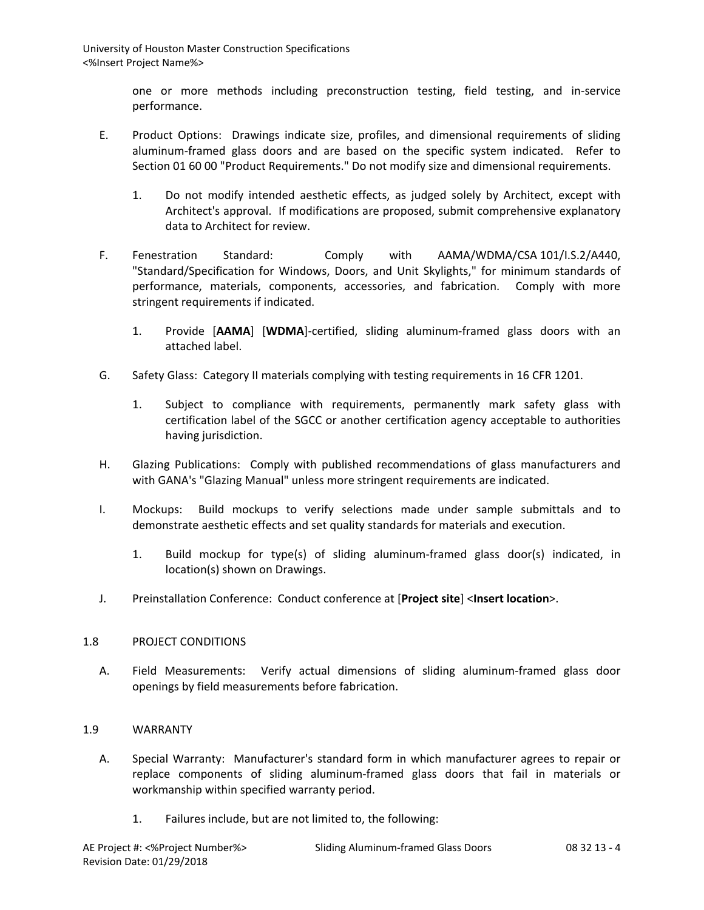one or more methods including preconstruction testing, field testing, and in-service performance.

- E. Product Options: Drawings indicate size, profiles, and dimensional requirements of sliding aluminum-framed glass doors and are based on the specific system indicated. Refer to Section 01 60 00 "Product Requirements." Do not modify size and dimensional requirements.
	- 1. Do not modify intended aesthetic effects, as judged solely by Architect, except with Architect's approval. If modifications are proposed, submit comprehensive explanatory data to Architect for review.
- F. Fenestration Standard: Comply with AAMA/WDMA/CSA 101/I.S.2/A440, "Standard/Specification for Windows, Doors, and Unit Skylights," for minimum standards of performance, materials, components, accessories, and fabrication. Comply with more stringent requirements if indicated.
	- 1. Provide [**AAMA**] [**WDMA**]-certified, sliding aluminum-framed glass doors with an attached label.
- G. Safety Glass: Category II materials complying with testing requirements in 16 CFR 1201.
	- 1. Subject to compliance with requirements, permanently mark safety glass with certification label of the SGCC or another certification agency acceptable to authorities having jurisdiction.
- H. Glazing Publications: Comply with published recommendations of glass manufacturers and with GANA's "Glazing Manual" unless more stringent requirements are indicated.
- I. Mockups: Build mockups to verify selections made under sample submittals and to demonstrate aesthetic effects and set quality standards for materials and execution.
	- 1. Build mockup for type(s) of sliding aluminum-framed glass door(s) indicated, in location(s) shown on Drawings.
- J. Preinstallation Conference: Conduct conference at [**Project site**] <**Insert location**>.

## 1.8 PROJECT CONDITIONS

A. Field Measurements: Verify actual dimensions of sliding aluminum-framed glass door openings by field measurements before fabrication.

## 1.9 WARRANTY

- A. Special Warranty: Manufacturer's standard form in which manufacturer agrees to repair or replace components of sliding aluminum-framed glass doors that fail in materials or workmanship within specified warranty period.
	- 1. Failures include, but are not limited to, the following: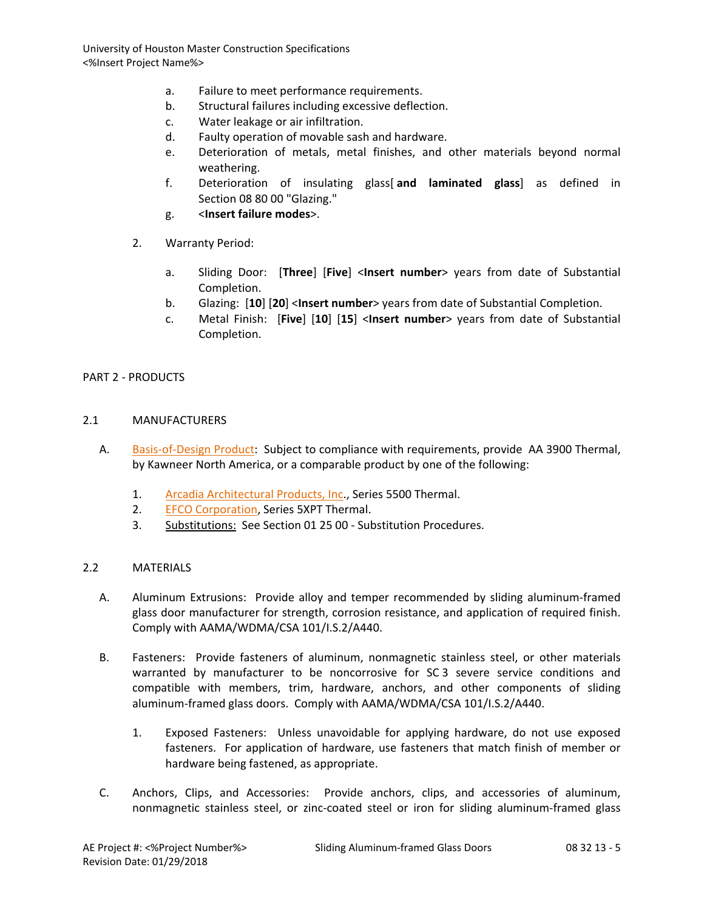- a. Failure to meet performance requirements.
- b. Structural failures including excessive deflection.
- c. Water leakage or air infiltration.
- d. Faulty operation of movable sash and hardware.
- e. Deterioration of metals, metal finishes, and other materials beyond normal weathering.
- f. Deterioration of insulating glass[ **and laminated glass**] as defined in Section 08 80 00 "Glazing."
- g. <**Insert failure modes**>.
- 2. Warranty Period:
	- a. Sliding Door: [**Three**] [**Five**] <**Insert number**> years from date of Substantial Completion.
	- b. Glazing: [**10**] [**20**] <**Insert number**> years from date of Substantial Completion.
	- c. Metal Finish: [**Five**] [**10**] [**15**] <**Insert number**> years from date of Substantial Completion.

#### PART 2 - PRODUCTS

#### 2.1 MANUFACTURERS

- A. [Basis-of-Design Product:](http://www.specagent.com/LookUp/?ulid=16&mf=04&src=wd) Subject to compliance with requirements, provide AA 3900 Thermal, by Kawneer North America, or a comparable product by one of the following:
	- 1. [Arcadia Architectural Products, Inc.](http://www.specagent.com/LookUp/?uid=123456811497&mf=04&src=wd), Series 5500 Thermal.
	- 2. [EFCO Corporation,](http://www.specagent.com/LookUp/?uid=123456789461&mf=04&src=wd) Series 5XPT Thermal.
	- 3. Substitutions: See Section 01 25 00 Substitution Procedures.

#### 2.2 MATERIALS

- A. Aluminum Extrusions: Provide alloy and temper recommended by sliding aluminum-framed glass door manufacturer for strength, corrosion resistance, and application of required finish. Comply with AAMA/WDMA/CSA 101/I.S.2/A440.
- B. Fasteners: Provide fasteners of aluminum, nonmagnetic stainless steel, or other materials warranted by manufacturer to be noncorrosive for SC 3 severe service conditions and compatible with members, trim, hardware, anchors, and other components of sliding aluminum-framed glass doors. Comply with AAMA/WDMA/CSA 101/I.S.2/A440.
	- 1. Exposed Fasteners: Unless unavoidable for applying hardware, do not use exposed fasteners. For application of hardware, use fasteners that match finish of member or hardware being fastened, as appropriate.
- C. Anchors, Clips, and Accessories: Provide anchors, clips, and accessories of aluminum, nonmagnetic stainless steel, or zinc-coated steel or iron for sliding aluminum-framed glass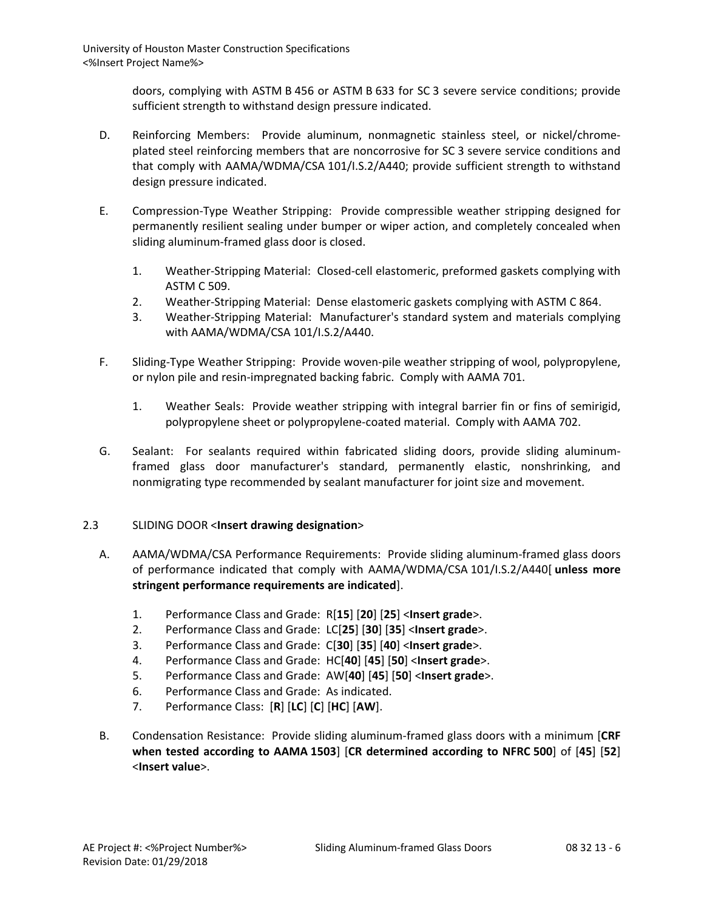doors, complying with ASTM B 456 or ASTM B 633 for SC 3 severe service conditions; provide sufficient strength to withstand design pressure indicated.

- D. Reinforcing Members: Provide aluminum, nonmagnetic stainless steel, or nickel/chromeplated steel reinforcing members that are noncorrosive for SC 3 severe service conditions and that comply with AAMA/WDMA/CSA 101/I.S.2/A440; provide sufficient strength to withstand design pressure indicated.
- E. Compression-Type Weather Stripping: Provide compressible weather stripping designed for permanently resilient sealing under bumper or wiper action, and completely concealed when sliding aluminum-framed glass door is closed.
	- 1. Weather-Stripping Material: Closed-cell elastomeric, preformed gaskets complying with ASTM C 509.
	- 2. Weather-Stripping Material: Dense elastomeric gaskets complying with ASTM C 864.
	- 3. Weather-Stripping Material: Manufacturer's standard system and materials complying with AAMA/WDMA/CSA 101/I.S.2/A440.
- F. Sliding-Type Weather Stripping: Provide woven-pile weather stripping of wool, polypropylene, or nylon pile and resin-impregnated backing fabric. Comply with AAMA 701.
	- 1. Weather Seals: Provide weather stripping with integral barrier fin or fins of semirigid, polypropylene sheet or polypropylene-coated material. Comply with AAMA 702.
- G. Sealant: For sealants required within fabricated sliding doors, provide sliding aluminumframed glass door manufacturer's standard, permanently elastic, nonshrinking, and nonmigrating type recommended by sealant manufacturer for joint size and movement.

# 2.3 SLIDING DOOR <**Insert drawing designation**>

- A. AAMA/WDMA/CSA Performance Requirements: Provide sliding aluminum-framed glass doors of performance indicated that comply with AAMA/WDMA/CSA 101/I.S.2/A440[ **unless more stringent performance requirements are indicated**].
	- 1. Performance Class and Grade: R[**15**] [**20**] [**25**] <**Insert grade**>.
	- 2. Performance Class and Grade: LC[**25**] [**30**] [**35**] <**Insert grade**>.
	- 3. Performance Class and Grade: C[**30**] [**35**] [**40**] <**Insert grade**>.
	- 4. Performance Class and Grade: HC[**40**] [**45**] [**50**] <**Insert grade**>.
	- 5. Performance Class and Grade: AW[**40**] [**45**] [**50**] <**Insert grade**>.
	- 6. Performance Class and Grade: As indicated.
	- 7. Performance Class: [**R**] [**LC**] [**C**] [**HC**] [**AW**].
- B. Condensation Resistance: Provide sliding aluminum-framed glass doors with a minimum [**CRF when tested according to AAMA 1503**] [**CR determined according to NFRC 500**] of [**45**] [**52**] <**Insert value**>.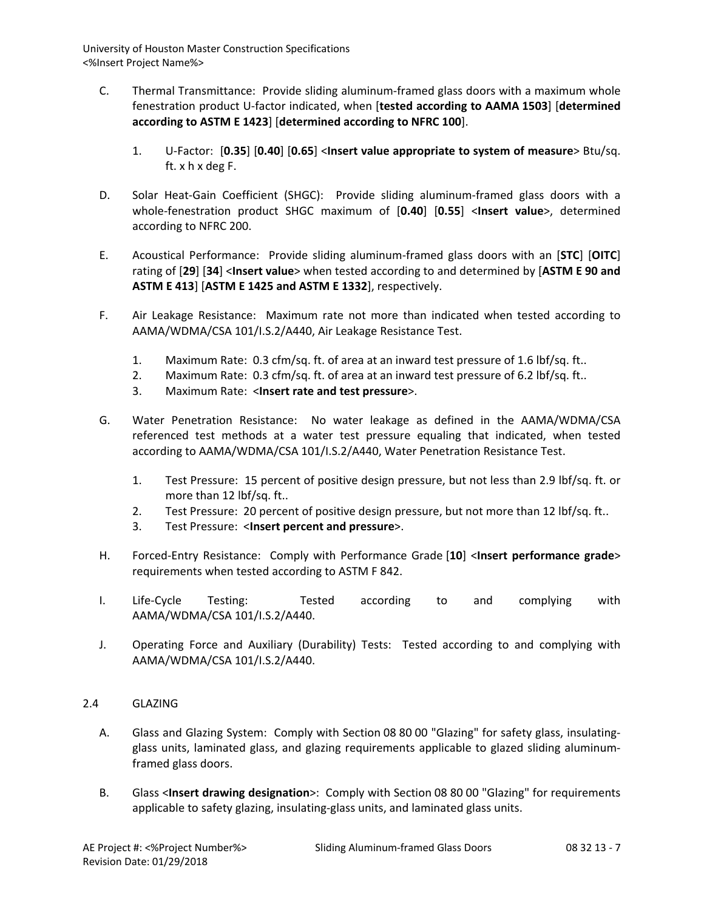- C. Thermal Transmittance: Provide sliding aluminum-framed glass doors with a maximum whole fenestration product U-factor indicated, when [**tested according to AAMA 1503**] [**determined according to ASTM E 1423**] [**determined according to NFRC 100**].
	- 1. U-Factor: [**0.35**] [**0.40**] [**0.65**] <**Insert value appropriate to system of measure**> Btu/sq. ft. x h x deg F.
- D. Solar Heat-Gain Coefficient (SHGC): Provide sliding aluminum-framed glass doors with a whole-fenestration product SHGC maximum of [**0.40**] [**0.55**] <**Insert value**>, determined according to NFRC 200.
- E. Acoustical Performance: Provide sliding aluminum-framed glass doors with an [**STC**] [**OITC**] rating of [**29**] [**34**] <**Insert value**> when tested according to and determined by [**ASTM E 90 and ASTM E 413**] [**ASTM E 1425 and ASTM E 1332**], respectively.
- F. Air Leakage Resistance: Maximum rate not more than indicated when tested according to AAMA/WDMA/CSA 101/I.S.2/A440, Air Leakage Resistance Test.
	- 1. Maximum Rate: 0.3 cfm/sq. ft. of area at an inward test pressure of 1.6 lbf/sq. ft..
	- 2. Maximum Rate: 0.3 cfm/sq. ft. of area at an inward test pressure of 6.2 lbf/sq. ft..
	- 3. Maximum Rate: <**Insert rate and test pressure**>.
- G. Water Penetration Resistance: No water leakage as defined in the AAMA/WDMA/CSA referenced test methods at a water test pressure equaling that indicated, when tested according to AAMA/WDMA/CSA 101/I.S.2/A440, Water Penetration Resistance Test.
	- 1. Test Pressure: 15 percent of positive design pressure, but not less than 2.9 lbf/sq. ft. or more than 12 lbf/sq. ft..
	- 2. Test Pressure: 20 percent of positive design pressure, but not more than 12 lbf/sq. ft..
	- 3. Test Pressure: <**Insert percent and pressure**>.
- H. Forced-Entry Resistance: Comply with Performance Grade [**10**] <**Insert performance grade**> requirements when tested according to ASTM F 842.
- I. Life-Cycle Testing: Tested according to and complying with AAMA/WDMA/CSA 101/I.S.2/A440.
- J. Operating Force and Auxiliary (Durability) Tests: Tested according to and complying with AAMA/WDMA/CSA 101/I.S.2/A440.
- 2.4 GLAZING
	- A. Glass and Glazing System: Comply with Section 08 80 00 "Glazing" for safety glass, insulatingglass units, laminated glass, and glazing requirements applicable to glazed sliding aluminumframed glass doors.
	- B. Glass <**Insert drawing designation**>: Comply with Section 08 80 00 "Glazing" for requirements applicable to safety glazing, insulating-glass units, and laminated glass units.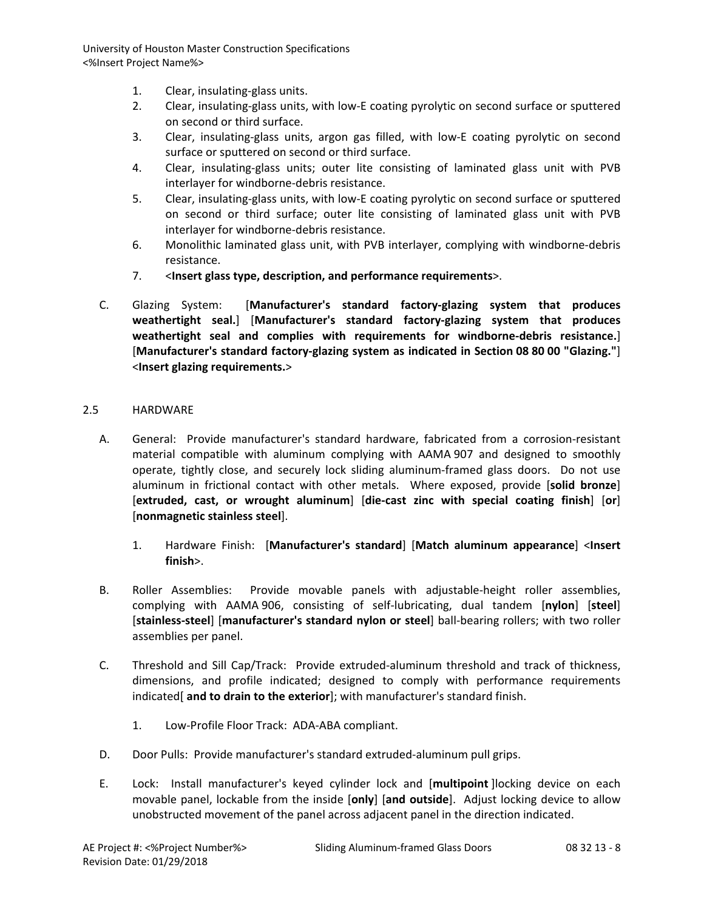- 1. Clear, insulating-glass units.
- 2. Clear, insulating-glass units, with low-E coating pyrolytic on second surface or sputtered on second or third surface.
- 3. Clear, insulating-glass units, argon gas filled, with low-E coating pyrolytic on second surface or sputtered on second or third surface.
- 4. Clear, insulating-glass units; outer lite consisting of laminated glass unit with PVB interlayer for windborne-debris resistance.
- 5. Clear, insulating-glass units, with low-E coating pyrolytic on second surface or sputtered on second or third surface; outer lite consisting of laminated glass unit with PVB interlayer for windborne-debris resistance.
- 6. Monolithic laminated glass unit, with PVB interlayer, complying with windborne-debris resistance.
- 7. <**Insert glass type, description, and performance requirements**>.
- C. Glazing System: [**Manufacturer's standard factory-glazing system that produces weathertight seal.**] [**Manufacturer's standard factory-glazing system that produces weathertight seal and complies with requirements for windborne-debris resistance.**] [**Manufacturer's standard factory-glazing system as indicated in Section 08 80 00 "Glazing."**] <**Insert glazing requirements.**>

## 2.5 HARDWARE

- A. General: Provide manufacturer's standard hardware, fabricated from a corrosion-resistant material compatible with aluminum complying with AAMA 907 and designed to smoothly operate, tightly close, and securely lock sliding aluminum-framed glass doors. Do not use aluminum in frictional contact with other metals. Where exposed, provide [**solid bronze**] [**extruded, cast, or wrought aluminum**] [**die-cast zinc with special coating finish**] [**or**] [**nonmagnetic stainless steel**].
	- 1. Hardware Finish: [**Manufacturer's standard**] [**Match aluminum appearance**] <**Insert finish**>.
- B. Roller Assemblies: Provide movable panels with adjustable-height roller assemblies, complying with AAMA 906, consisting of self-lubricating, dual tandem [**nylon**] [**steel**] [**stainless-steel**] [**manufacturer's standard nylon or steel**] ball-bearing rollers; with two roller assemblies per panel.
- C. Threshold and Sill Cap/Track: Provide extruded-aluminum threshold and track of thickness, dimensions, and profile indicated; designed to comply with performance requirements indicated[ **and to drain to the exterior**]; with manufacturer's standard finish.
	- 1. Low-Profile Floor Track: ADA-ABA compliant.
- D. Door Pulls: Provide manufacturer's standard extruded-aluminum pull grips.
- E. Lock: Install manufacturer's keyed cylinder lock and [**multipoint** ]locking device on each movable panel, lockable from the inside [**only**] [**and outside**]. Adjust locking device to allow unobstructed movement of the panel across adjacent panel in the direction indicated.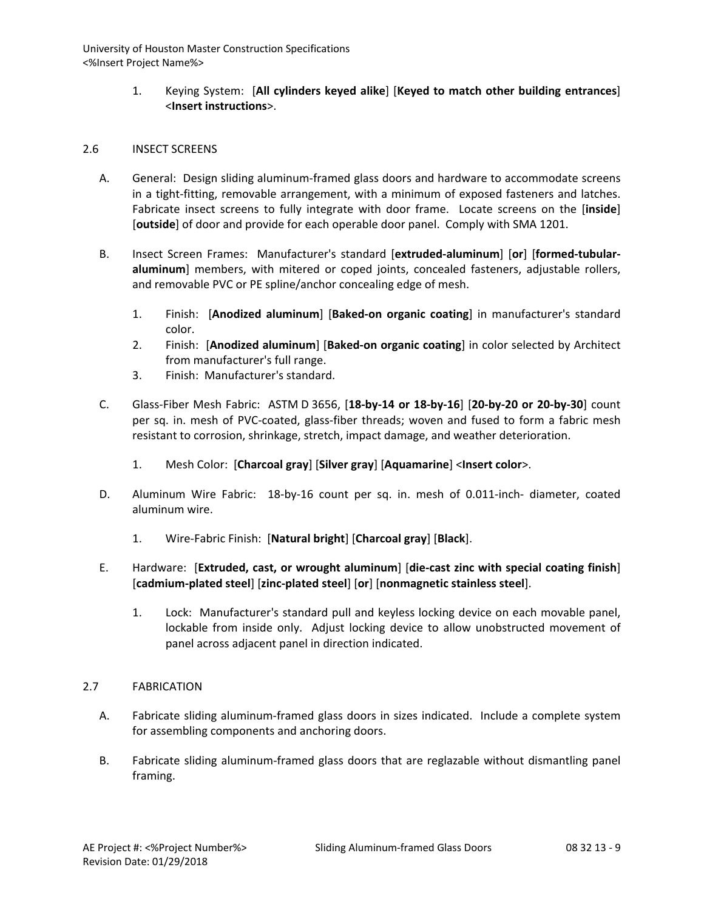> 1. Keying System: [**All cylinders keyed alike**] [**Keyed to match other building entrances**] <**Insert instructions**>.

### 2.6 INSECT SCREENS

- A. General: Design sliding aluminum-framed glass doors and hardware to accommodate screens in a tight-fitting, removable arrangement, with a minimum of exposed fasteners and latches. Fabricate insect screens to fully integrate with door frame. Locate screens on the [**inside**] [**outside**] of door and provide for each operable door panel. Comply with SMA 1201.
- B. Insect Screen Frames: Manufacturer's standard [**extruded-aluminum**] [**or**] [**formed-tubularaluminum**] members, with mitered or coped joints, concealed fasteners, adjustable rollers, and removable PVC or PE spline/anchor concealing edge of mesh.
	- 1. Finish: [**Anodized aluminum**] [**Baked-on organic coating**] in manufacturer's standard color.
	- 2. Finish: [**Anodized aluminum**] [**Baked-on organic coating**] in color selected by Architect from manufacturer's full range.
	- 3. Finish: Manufacturer's standard.
- C. Glass-Fiber Mesh Fabric: ASTM D 3656, [**18-by-14 or 18-by-16**] [**20-by-20 or 20-by-30**] count per sq. in. mesh of PVC-coated, glass-fiber threads; woven and fused to form a fabric mesh resistant to corrosion, shrinkage, stretch, impact damage, and weather deterioration.
	- 1. Mesh Color: [**Charcoal gray**] [**Silver gray**] [**Aquamarine**] <**Insert color**>.
- D. Aluminum Wire Fabric: 18-by-16 count per sq. in. mesh of 0.011-inch- diameter, coated aluminum wire.
	- 1. Wire-Fabric Finish: [**Natural bright**] [**Charcoal gray**] [**Black**].

## E. Hardware: [**Extruded, cast, or wrought aluminum**] [**die-cast zinc with special coating finish**] [**cadmium-plated steel**] [**zinc-plated steel**] [**or**] [**nonmagnetic stainless steel**].

1. Lock: Manufacturer's standard pull and keyless locking device on each movable panel, lockable from inside only. Adjust locking device to allow unobstructed movement of panel across adjacent panel in direction indicated.

## 2.7 FABRICATION

- A. Fabricate sliding aluminum-framed glass doors in sizes indicated. Include a complete system for assembling components and anchoring doors.
- B. Fabricate sliding aluminum-framed glass doors that are reglazable without dismantling panel framing.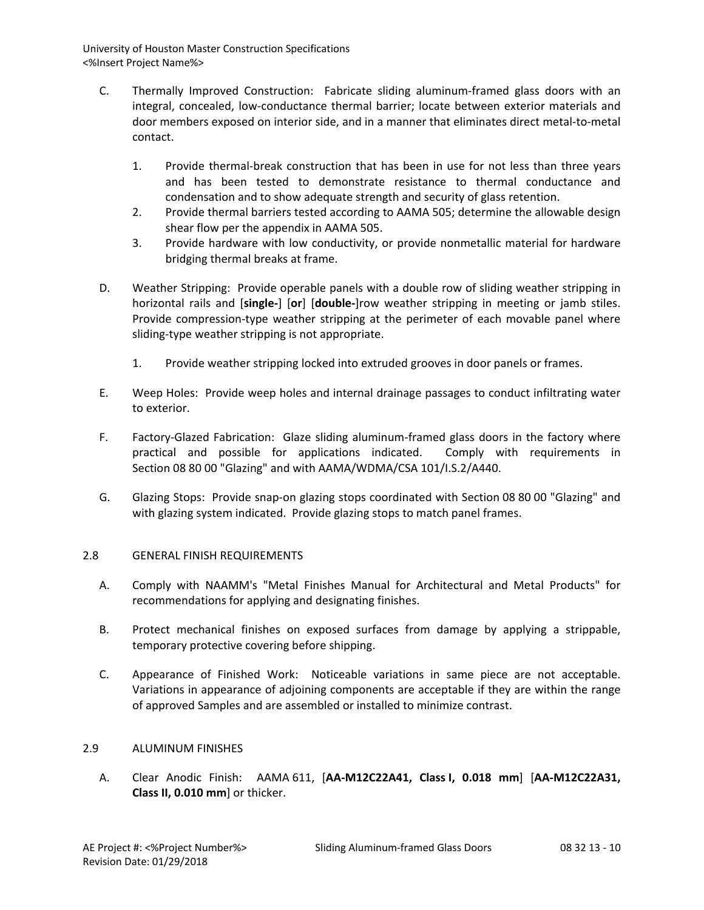- C. Thermally Improved Construction: Fabricate sliding aluminum-framed glass doors with an integral, concealed, low-conductance thermal barrier; locate between exterior materials and door members exposed on interior side, and in a manner that eliminates direct metal-to-metal contact.
	- 1. Provide thermal-break construction that has been in use for not less than three years and has been tested to demonstrate resistance to thermal conductance and condensation and to show adequate strength and security of glass retention.
	- 2. Provide thermal barriers tested according to AAMA 505; determine the allowable design shear flow per the appendix in AAMA 505.
	- 3. Provide hardware with low conductivity, or provide nonmetallic material for hardware bridging thermal breaks at frame.
- D. Weather Stripping: Provide operable panels with a double row of sliding weather stripping in horizontal rails and [**single-**] [**or**] [**double-**]row weather stripping in meeting or jamb stiles. Provide compression-type weather stripping at the perimeter of each movable panel where sliding-type weather stripping is not appropriate.
	- 1. Provide weather stripping locked into extruded grooves in door panels or frames.
- E. Weep Holes: Provide weep holes and internal drainage passages to conduct infiltrating water to exterior.
- F. Factory-Glazed Fabrication: Glaze sliding aluminum-framed glass doors in the factory where practical and possible for applications indicated. Comply with requirements in Section 08 80 00 "Glazing" and with AAMA/WDMA/CSA 101/I.S.2/A440.
- G. Glazing Stops: Provide snap-on glazing stops coordinated with Section 08 80 00 "Glazing" and with glazing system indicated. Provide glazing stops to match panel frames.

# 2.8 GENERAL FINISH REQUIREMENTS

- A. Comply with NAAMM's "Metal Finishes Manual for Architectural and Metal Products" for recommendations for applying and designating finishes.
- B. Protect mechanical finishes on exposed surfaces from damage by applying a strippable, temporary protective covering before shipping.
- C. Appearance of Finished Work: Noticeable variations in same piece are not acceptable. Variations in appearance of adjoining components are acceptable if they are within the range of approved Samples and are assembled or installed to minimize contrast.

# 2.9 ALUMINUM FINISHES

A. Clear Anodic Finish: AAMA 611, [**AA-M12C22A41, Class I, 0.018 mm**] [**AA-M12C22A31, Class II, 0.010 mm**] or thicker.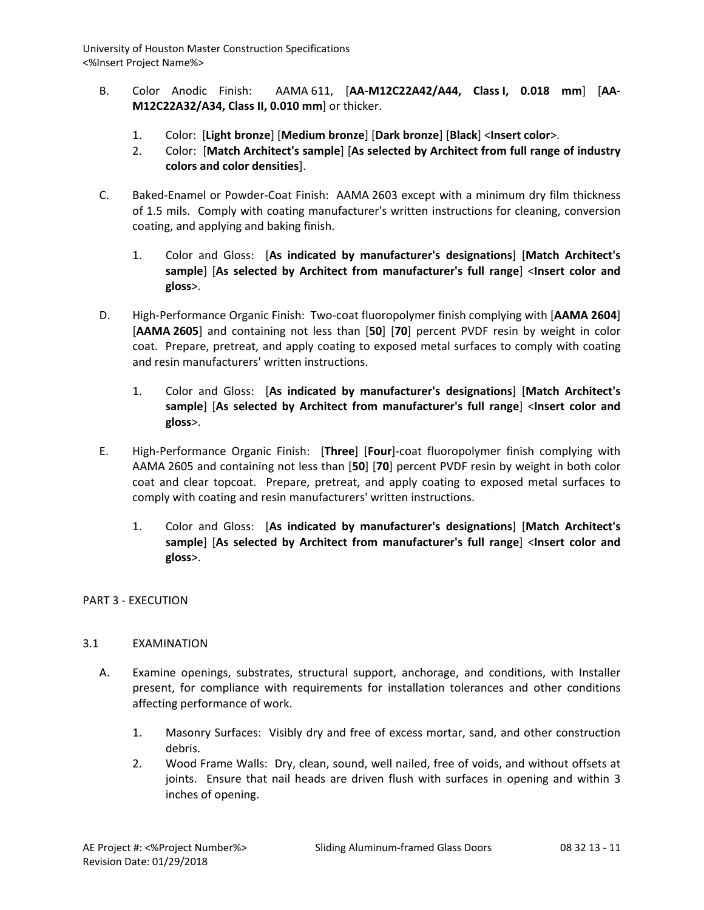- B. Color Anodic Finish: AAMA 611, [**AA-M12C22A42/A44, Class I, 0.018 mm**] [**AA-M12C22A32/A34, Class II, 0.010 mm**] or thicker.
	- 1. Color: [**Light bronze**] [**Medium bronze**] [**Dark bronze**] [**Black**] <**Insert color**>.
	- 2. Color: [**Match Architect's sample**] [**As selected by Architect from full range of industry colors and color densities**].
- C. Baked-Enamel or Powder-Coat Finish: AAMA 2603 except with a minimum dry film thickness of 1.5 mils. Comply with coating manufacturer's written instructions for cleaning, conversion coating, and applying and baking finish.
	- 1. Color and Gloss: [**As indicated by manufacturer's designations**] [**Match Architect's sample**] [**As selected by Architect from manufacturer's full range**] <**Insert color and gloss**>.
- D. High-Performance Organic Finish: Two-coat fluoropolymer finish complying with [**AAMA 2604**] [**AAMA 2605**] and containing not less than [**50**] [**70**] percent PVDF resin by weight in color coat. Prepare, pretreat, and apply coating to exposed metal surfaces to comply with coating and resin manufacturers' written instructions.
	- 1. Color and Gloss: [**As indicated by manufacturer's designations**] [**Match Architect's sample**] [**As selected by Architect from manufacturer's full range**] <**Insert color and gloss**>.
- E. High-Performance Organic Finish: [**Three**] [**Four**]-coat fluoropolymer finish complying with AAMA 2605 and containing not less than [**50**] [**70**] percent PVDF resin by weight in both color coat and clear topcoat. Prepare, pretreat, and apply coating to exposed metal surfaces to comply with coating and resin manufacturers' written instructions.
	- 1. Color and Gloss: [**As indicated by manufacturer's designations**] [**Match Architect's sample**] [**As selected by Architect from manufacturer's full range**] <**Insert color and gloss**>.

## PART 3 - EXECUTION

## 3.1 EXAMINATION

- A. Examine openings, substrates, structural support, anchorage, and conditions, with Installer present, for compliance with requirements for installation tolerances and other conditions affecting performance of work.
	- 1. Masonry Surfaces: Visibly dry and free of excess mortar, sand, and other construction debris.
	- 2. Wood Frame Walls: Dry, clean, sound, well nailed, free of voids, and without offsets at joints. Ensure that nail heads are driven flush with surfaces in opening and within 3 inches of opening.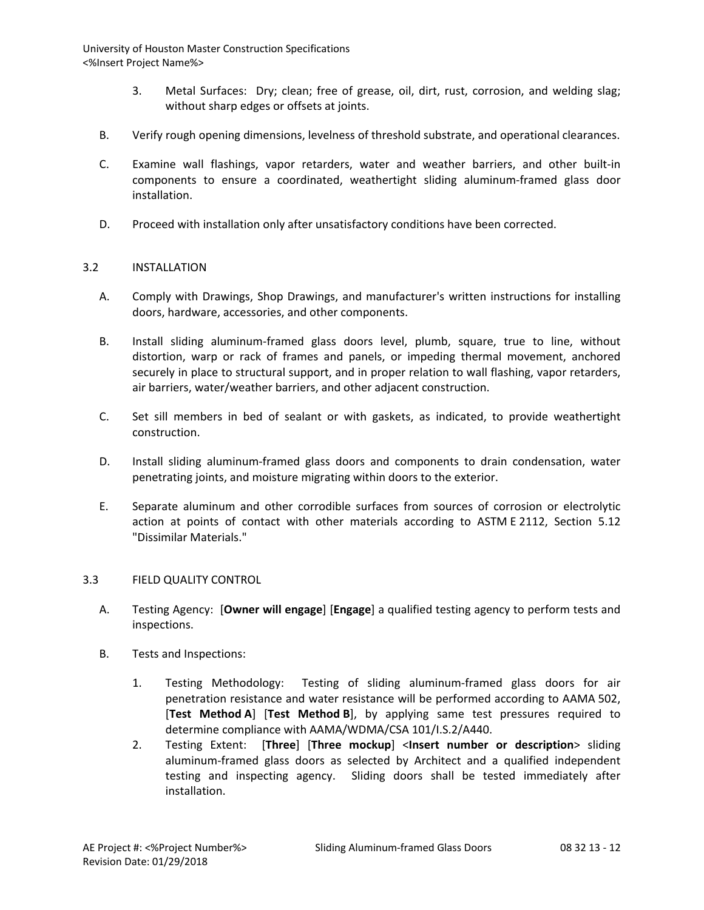- 3. Metal Surfaces: Dry; clean; free of grease, oil, dirt, rust, corrosion, and welding slag; without sharp edges or offsets at joints.
- B. Verify rough opening dimensions, levelness of threshold substrate, and operational clearances.
- C. Examine wall flashings, vapor retarders, water and weather barriers, and other built-in components to ensure a coordinated, weathertight sliding aluminum-framed glass door installation.
- D. Proceed with installation only after unsatisfactory conditions have been corrected.

## 3.2 INSTALLATION

- A. Comply with Drawings, Shop Drawings, and manufacturer's written instructions for installing doors, hardware, accessories, and other components.
- B. Install sliding aluminum-framed glass doors level, plumb, square, true to line, without distortion, warp or rack of frames and panels, or impeding thermal movement, anchored securely in place to structural support, and in proper relation to wall flashing, vapor retarders, air barriers, water/weather barriers, and other adjacent construction.
- C. Set sill members in bed of sealant or with gaskets, as indicated, to provide weathertight construction.
- D. Install sliding aluminum-framed glass doors and components to drain condensation, water penetrating joints, and moisture migrating within doors to the exterior.
- E. Separate aluminum and other corrodible surfaces from sources of corrosion or electrolytic action at points of contact with other materials according to ASTM E 2112, Section 5.12 "Dissimilar Materials."

## 3.3 FIELD QUALITY CONTROL

- A. Testing Agency: [**Owner will engage**] [**Engage**] a qualified testing agency to perform tests and inspections.
- B. Tests and Inspections:
	- 1. Testing Methodology: Testing of sliding aluminum-framed glass doors for air penetration resistance and water resistance will be performed according to AAMA 502, [**Test Method A**] [**Test Method B**], by applying same test pressures required to determine compliance with AAMA/WDMA/CSA 101/I.S.2/A440.
	- 2. Testing Extent: [**Three**] [**Three mockup**] <**Insert number or description**> sliding aluminum-framed glass doors as selected by Architect and a qualified independent testing and inspecting agency. Sliding doors shall be tested immediately after installation.